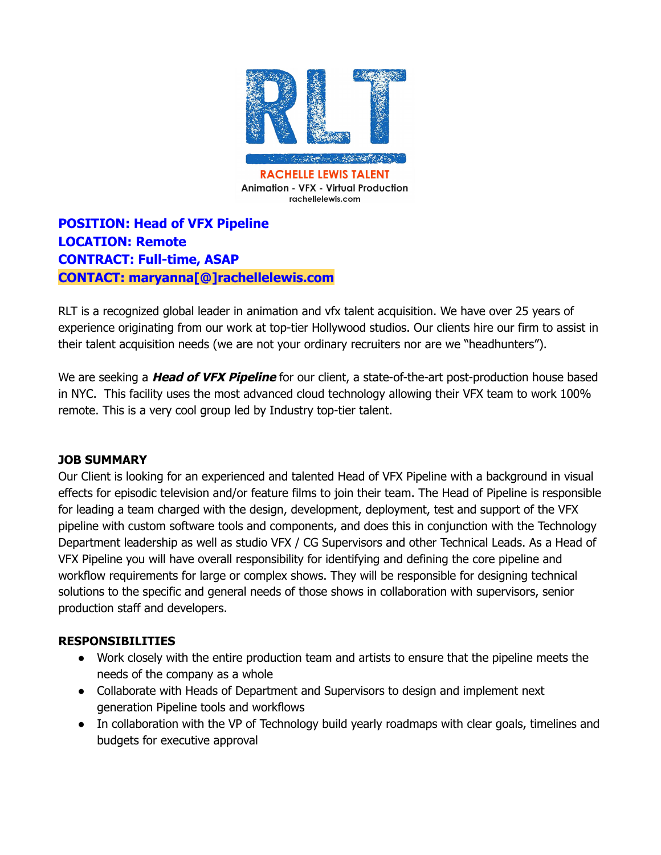

**Animation - VFX - Virtual Production** rachellelewis.com

**POSITION: Head of VFX Pipeline LOCATION: Remote CONTRACT: Full-time, ASAP CONTACT: maryanna[@]rachellelewis.com**

RLT is a recognized global leader in animation and vfx talent acquisition. We have over 25 years of experience originating from our work at top-tier Hollywood studios. Our clients hire our firm to assist in their talent acquisition needs (we are not your ordinary recruiters nor are we "headhunters").

We are seeking a **Head of VFX Pipeline** for our client, a state-of-the-art post-production house based in NYC. This facility uses the most advanced cloud technology allowing their VFX team to work 100% remote. This is a very cool group led by Industry top-tier talent.

#### **JOB SUMMARY**

Our Client is looking for an experienced and talented Head of VFX Pipeline with a background in visual effects for episodic television and/or feature films to join their team. The Head of Pipeline is responsible for leading a team charged with the design, development, deployment, test and support of the VFX pipeline with custom software tools and components, and does this in conjunction with the Technology Department leadership as well as studio VFX / CG Supervisors and other Technical Leads. As a Head of VFX Pipeline you will have overall responsibility for identifying and defining the core pipeline and workflow requirements for large or complex shows. They will be responsible for designing technical solutions to the specific and general needs of those shows in collaboration with supervisors, senior production staff and developers.

#### **RESPONSIBILITIES**

- Work closely with the entire production team and artists to ensure that the pipeline meets the needs of the company as a whole
- Collaborate with Heads of Department and Supervisors to design and implement next generation Pipeline tools and workflows
- In collaboration with the VP of Technology build yearly roadmaps with clear goals, timelines and budgets for executive approval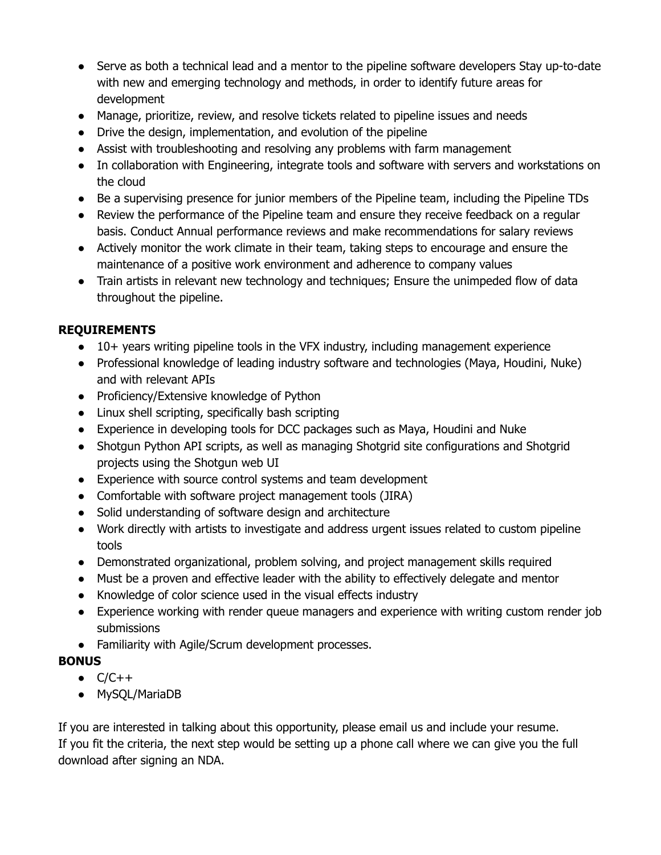- Serve as both a technical lead and a mentor to the pipeline software developers Stay up-to-date with new and emerging technology and methods, in order to identify future areas for development
- Manage, prioritize, review, and resolve tickets related to pipeline issues and needs
- Drive the design, implementation, and evolution of the pipeline
- Assist with troubleshooting and resolving any problems with farm management
- In collaboration with Engineering, integrate tools and software with servers and workstations on the cloud
- Be a supervising presence for junior members of the Pipeline team, including the Pipeline TDs
- Review the performance of the Pipeline team and ensure they receive feedback on a regular basis. Conduct Annual performance reviews and make recommendations for salary reviews
- Actively monitor the work climate in their team, taking steps to encourage and ensure the maintenance of a positive work environment and adherence to company values
- Train artists in relevant new technology and techniques; Ensure the unimpeded flow of data throughout the pipeline.

## **REQUIREMENTS**

- 10+ years writing pipeline tools in the VFX industry, including management experience
- Professional knowledge of leading industry software and technologies (Maya, Houdini, Nuke) and with relevant APIs
- Proficiency/Extensive knowledge of Python
- Linux shell scripting, specifically bash scripting
- Experience in developing tools for DCC packages such as Maya, Houdini and Nuke
- Shotgun Python API scripts, as well as managing Shotgrid site configurations and Shotgrid projects using the Shotgun web UI
- Experience with source control systems and team development
- Comfortable with software project management tools (JIRA)
- Solid understanding of software design and architecture
- Work directly with artists to investigate and address urgent issues related to custom pipeline tools
- Demonstrated organizational, problem solving, and project management skills required
- Must be a proven and effective leader with the ability to effectively delegate and mentor
- Knowledge of color science used in the visual effects industry
- Experience working with render queue managers and experience with writing custom render job submissions
- Familiarity with Agile/Scrum development processes.

## **BONUS**

- $\bullet$   $C/C++$
- MySQL/MariaDB

If you are interested in talking about this opportunity, please email us and include your resume. If you fit the criteria, the next step would be setting up a phone call where we can give you the full download after signing an NDA.